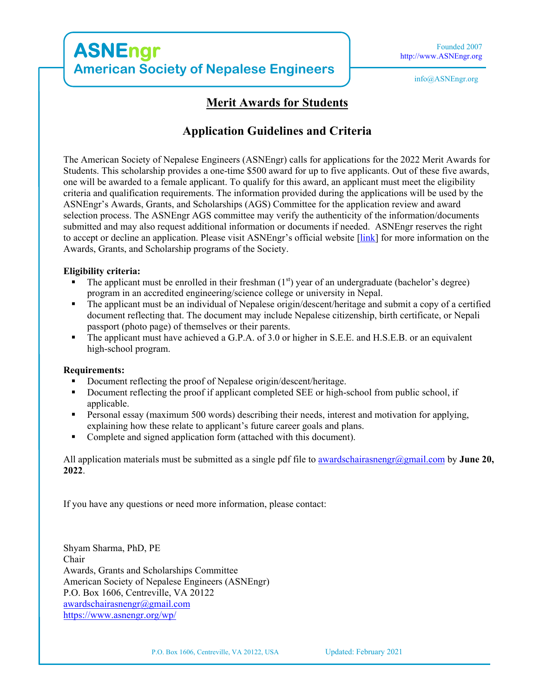## **Merit Awards for Students**

### **Application Guidelines and Criteria**

The American Society of Nepalese Engineers (ASNEngr) calls for applications for the 2022 Merit Awards for Students. This scholarship provides a one-time \$500 award for up to five applicants. Out of these five awards, one will be awarded to a female applicant. To qualify for this award, an applicant must meet the eligibility criteria and qualification requirements. The information provided during the applications will be used by the ASNEngr's Awards, Grants, and Scholarships (AGS) Committee for the application review and award selection process. The ASNEngr AGS committee may verify the authenticity of the information/documents submitted and may also request additional information or documents if needed. ASNEngr reserves the right to accept or decline an application. Please visit ASNEngr's official website [link] for more information on the Awards, Grants, and Scholarship programs of the Society.

#### **Eligibility criteria:**

- The applicant must be enrolled in their freshman  $(1<sup>st</sup>)$  year of an undergraduate (bachelor's degree) program in an accredited engineering/science college or university in Nepal.
- The applicant must be an individual of Nepalese origin/descent/heritage and submit a copy of a certified document reflecting that. The document may include Nepalese citizenship, birth certificate, or Nepali passport (photo page) of themselves or their parents.
- The applicant must have achieved a G.P.A. of 3.0 or higher in S.E.E. and H.S.E.B. or an equivalent high-school program.

#### **Requirements:**

- Document reflecting the proof of Nepalese origin/descent/heritage.
- Document reflecting the proof if applicant completed SEE or high-school from public school, if applicable.
- **Personal essay (maximum 500 words) describing their needs, interest and motivation for applying,** explaining how these relate to applicant's future career goals and plans.
- Complete and signed application form (attached with this document).

All application materials must be submitted as a single pdf file to awardschairasnengr@gmail.com by **June 20, 2022**.

If you have any questions or need more information, please contact:

Shyam Sharma, PhD, PE Chair Awards, Grants and Scholarships Committee American Society of Nepalese Engineers (ASNEngr) P.O. Box 1606, Centreville, VA 20122 awardschairasnengr@gmail.com https://www.asnengr.org/wp/